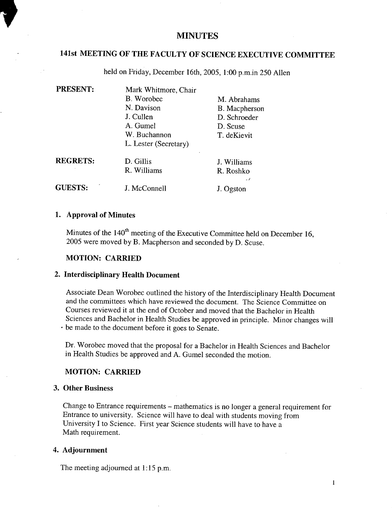# **MINUTES**

# **141st MEETING OF THE FACULTY OF SCIENCE EXECUTIVE COMMITTEE**

held on Friday, December 16th, 2005, 1:00 p.m.in *250* Allen

| <b>PRESENT:</b> | Mark Whitmore, Chair  |               |  |
|-----------------|-----------------------|---------------|--|
|                 | B. Worobec            | M. Abrahams   |  |
|                 | N. Davison            | B. Macpherson |  |
|                 | J. Cullen             | D. Schroeder  |  |
|                 | A. Gumel              | D. Scuse      |  |
|                 | W. Buchannon          | T. deKievit   |  |
|                 | L. Lester (Secretary) |               |  |
| <b>REGRETS:</b> | D. Gillis             | J. Williams   |  |
|                 | R. Williams           | R. Roshko     |  |
|                 |                       | - 1           |  |
| <b>GUESTS:</b>  | J. McConnell          | J. Ogston     |  |

#### **Approval of Minutes**

Minutes of the  $140<sup>th</sup>$  meeting of the Executive Committee held on December 16, 2005 were moved by B. Macpherson and seconded by D. Scuse.

## **MOTION: CARRIED**

### **Interdisciplinary Health Document**

Associate Dean Worobec outlined the history of the Interdisciplinary Health Document and the committees which have reviewed the document. The Science Committee on Courses reviewed it at the end of October and moved that the Bachelor in Health Sciences and Bachelor in Health Studies be approved in principle. Minor changes will be made to the document before it goes to Senate.

Dr. Worobec moved that the proposal for a Bachelor in Health Sciences and Bachelor in Health Studies be approved and A. Gumel seconded the motion.

#### **MOTION: CARRIED**

## **Other Business**

Change to Entrance requirements - mathematics is no longer a general requirement for Entrance to university. Science will have to deal with students moving from University I to Science. First year Science students will have to have a Math requirement.

## **Adjournment**

The meeting adjourned at 1:15 p.m.

 $\mathbf{1}$